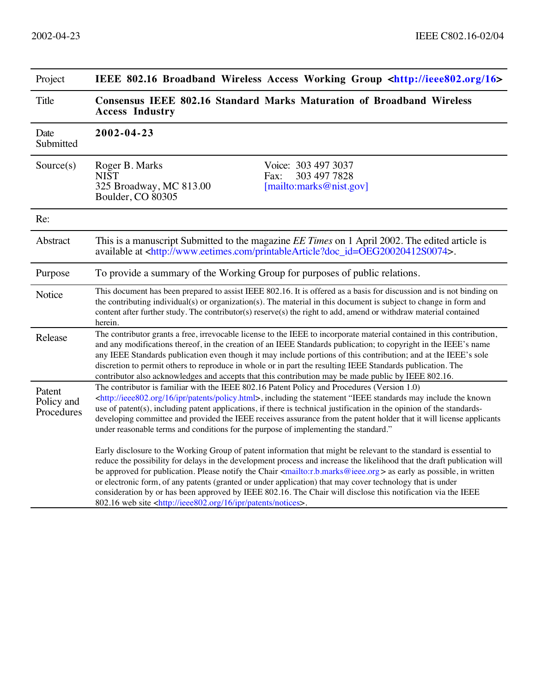| Project                            | IEEE 802.16 Broadband Wireless Access Working Group <http: 16="" ieee802.org=""></http:>                                                                                                                                                                                                                                                                                                                                                                                                                                                                                                                                                                                                                              |
|------------------------------------|-----------------------------------------------------------------------------------------------------------------------------------------------------------------------------------------------------------------------------------------------------------------------------------------------------------------------------------------------------------------------------------------------------------------------------------------------------------------------------------------------------------------------------------------------------------------------------------------------------------------------------------------------------------------------------------------------------------------------|
| Title                              | Consensus IEEE 802.16 Standard Marks Maturation of Broadband Wireless<br><b>Access Industry</b>                                                                                                                                                                                                                                                                                                                                                                                                                                                                                                                                                                                                                       |
| Date<br>Submitted                  | 2002-04-23                                                                                                                                                                                                                                                                                                                                                                                                                                                                                                                                                                                                                                                                                                            |
| Source(s)                          | Voice: 303 497 3037<br>Roger B. Marks<br>303 497 7828<br><b>NIST</b><br>Fax:<br>325 Broadway, MC 813.00<br>[mail to: marks@nist.gov]<br>Boulder, CO 80305                                                                                                                                                                                                                                                                                                                                                                                                                                                                                                                                                             |
| Re:                                |                                                                                                                                                                                                                                                                                                                                                                                                                                                                                                                                                                                                                                                                                                                       |
| Abstract                           | This is a manuscript Submitted to the magazine <i>EE Times</i> on 1 April 2002. The edited article is<br>available at <http: printablearticle?doc_id="OEG20020412S0074" www.eetimes.com="">.</http:>                                                                                                                                                                                                                                                                                                                                                                                                                                                                                                                  |
| Purpose                            | To provide a summary of the Working Group for purposes of public relations.                                                                                                                                                                                                                                                                                                                                                                                                                                                                                                                                                                                                                                           |
| Notice                             | This document has been prepared to assist IEEE 802.16. It is offered as a basis for discussion and is not binding on<br>the contributing individual(s) or organization(s). The material in this document is subject to change in form and<br>content after further study. The contributor(s) reserve(s) the right to add, amend or withdraw material contained<br>herein.                                                                                                                                                                                                                                                                                                                                             |
| Release                            | The contributor grants a free, irrevocable license to the IEEE to incorporate material contained in this contribution,<br>and any modifications thereof, in the creation of an IEEE Standards publication; to copyright in the IEEE's name<br>any IEEE Standards publication even though it may include portions of this contribution; and at the IEEE's sole<br>discretion to permit others to reproduce in whole or in part the resulting IEEE Standards publication. The<br>contributor also acknowledges and accepts that this contribution may be made public by IEEE 802.16.                                                                                                                                    |
| Patent<br>Policy and<br>Procedures | The contributor is familiar with the IEEE 802.16 Patent Policy and Procedures (Version 1.0)<br><http: 16="" ieee802.org="" ipr="" patents="" policy.html="">, including the statement "IEEE standards may include the known<br/>use of patent(s), including patent applications, if there is technical justification in the opinion of the standards-<br/>developing committee and provided the IEEE receives assurance from the patent holder that it will license applicants<br/>under reasonable terms and conditions for the purpose of implementing the standard."</http:>                                                                                                                                       |
|                                    | Early disclosure to the Working Group of patent information that might be relevant to the standard is essential to<br>reduce the possibility for delays in the development process and increase the likelihood that the draft publication will<br>be approved for publication. Please notify the Chair <mailto:r.b.marks@ieee.org> as early as possible, in written<br/>or electronic form, of any patents (granted or under application) that may cover technology that is under<br/>consideration by or has been approved by IEEE 802.16. The Chair will disclose this notification via the IEEE<br/>802.16 web site <http: 16="" ieee802.org="" ipr="" notices="" patents="">.</http:></mailto:r.b.marks@ieee.org> |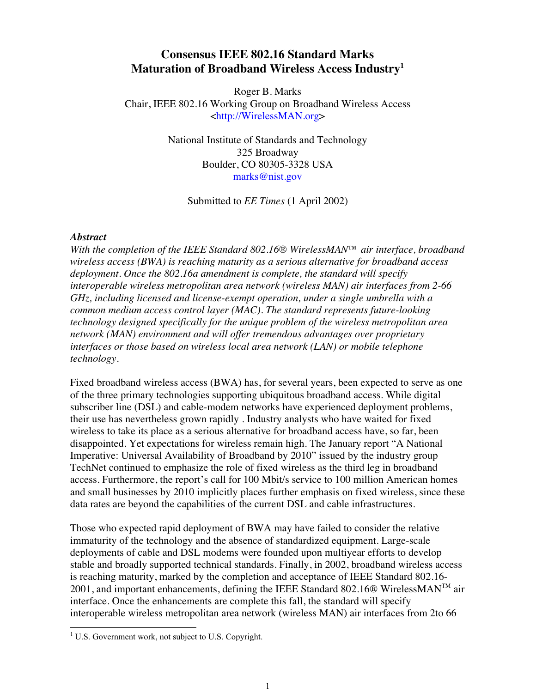## **Consensus IEEE 802.16 Standard Marks Maturation of Broadband Wireless Access Industry1**

Roger B. Marks Chair, IEEE 802.16 Working Group on Broadband Wireless Access [<http://WirelessMAN.org>](http://WirelessMAN.org)

> National Institute of Standards and Technology 325 Broadway Boulder, CO 80305-3328 USA [marks@nist.gov](mailto:marks@nist.gov)

> > Submitted to *EE Times* (1 April 2002)

## *Abstract*

*With the completion of the IEEE Standard 802.16® WirelessMAN™ air interface, broadband wireless access (BWA) is reaching maturity as a serious alternative for broadband access deployment. Once the 802.16a amendment is complete, the standard will specify interoperable wireless metropolitan area network (wireless MAN) air interfaces from 2-66 GHz, including licensed and license-exempt operation, under a single umbrella with a common medium access control layer (MAC). The standard represents future-looking technology designed specifically for the unique problem of the wireless metropolitan area network (MAN) environment and will offer tremendous advantages over proprietary interfaces or those based on wireless local area network (LAN) or mobile telephone technology.*

Fixed broadband wireless access (BWA) has, for several years, been expected to serve as one of the three primary technologies supporting ubiquitous broadband access. While digital subscriber line (DSL) and cable-modem networks have experienced deployment problems, their use has nevertheless grown rapidly . Industry analysts who have waited for fixed wireless to take its place as a serious alternative for broadband access have, so far, been disappointed. Yet expectations for wireless remain high. The January report "A National Imperative: Universal Availability of Broadband by 2010" issued by the industry group TechNet continued to emphasize the role of fixed wireless as the third leg in broadband access. Furthermore, the report's call for 100 Mbit/s service to 100 million American homes and small businesses by 2010 implicitly places further emphasis on fixed wireless, since these data rates are beyond the capabilities of the current DSL and cable infrastructures.

Those who expected rapid deployment of BWA may have failed to consider the relative immaturity of the technology and the absence of standardized equipment. Large-scale deployments of cable and DSL modems were founded upon multiyear efforts to develop stable and broadly supported technical standards. Finally, in 2002, broadband wireless access is reaching maturity, marked by the completion and acceptance of IEEE Standard 802.16-  $2001$ , and important enhancements, defining the IEEE Standard 802.16 $\Omega$  WirelessMAN<sup>TM</sup> air interface. Once the enhancements are complete this fall, the standard will specify interoperable wireless metropolitan area network (wireless MAN) air interfaces from 2to 66

 1 U.S. Government work, not subject to U.S. Copyright.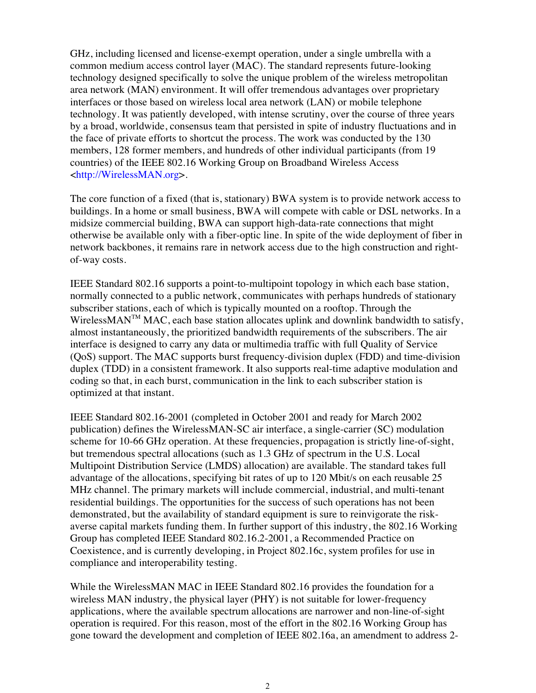GHz, including licensed and license-exempt operation, under a single umbrella with a common medium access control layer (MAC). The standard represents future-looking technology designed specifically to solve the unique problem of the wireless metropolitan area network (MAN) environment. It will offer tremendous advantages over proprietary interfaces or those based on wireless local area network (LAN) or mobile telephone technology. It was patiently developed, with intense scrutiny, over the course of three years by a broad, worldwide, consensus team that persisted in spite of industry fluctuations and in the face of private efforts to shortcut the process. The work was conducted by the 130 members, 128 former members, and hundreds of other individual participants (from 19 countries) of the IEEE 802.16 Working Group on Broadband Wireless Access <[http://WirelessMAN.org>](http://WirelessMAN.org).

The core function of a fixed (that is, stationary) BWA system is to provide network access to buildings. In a home or small business, BWA will compete with cable or DSL networks. In a midsize commercial building, BWA can support high-data-rate connections that might otherwise be available only with a fiber-optic line. In spite of the wide deployment of fiber in network backbones, it remains rare in network access due to the high construction and rightof-way costs.

IEEE Standard 802.16 supports a point-to-multipoint topology in which each base station, normally connected to a public network, communicates with perhaps hundreds of stationary subscriber stations, each of which is typically mounted on a rooftop. Through the WirelessMAN<sup>TM</sup> MAC, each base station allocates uplink and downlink bandwidth to satisfy, almost instantaneously, the prioritized bandwidth requirements of the subscribers. The air interface is designed to carry any data or multimedia traffic with full Quality of Service (QoS) support. The MAC supports burst frequency-division duplex (FDD) and time-division duplex (TDD) in a consistent framework. It also supports real-time adaptive modulation and coding so that, in each burst, communication in the link to each subscriber station is optimized at that instant.

IEEE Standard 802.16-2001 (completed in October 2001 and ready for March 2002 publication) defines the WirelessMAN-SC air interface, a single-carrier (SC) modulation scheme for 10-66 GHz operation. At these frequencies, propagation is strictly line-of-sight, but tremendous spectral allocations (such as 1.3 GHz of spectrum in the U.S. Local Multipoint Distribution Service (LMDS) allocation) are available. The standard takes full advantage of the allocations, specifying bit rates of up to 120 Mbit/s on each reusable 25 MHz channel. The primary markets will include commercial, industrial, and multi-tenant residential buildings. The opportunities for the success of such operations has not been demonstrated, but the availability of standard equipment is sure to reinvigorate the riskaverse capital markets funding them. In further support of this industry, the 802.16 Working Group has completed IEEE Standard 802.16.2-2001, a Recommended Practice on Coexistence, and is currently developing, in Project 802.16c, system profiles for use in compliance and interoperability testing.

While the WirelessMAN MAC in IEEE Standard 802.16 provides the foundation for a wireless MAN industry, the physical layer (PHY) is not suitable for lower-frequency applications, where the available spectrum allocations are narrower and non-line-of-sight operation is required. For this reason, most of the effort in the 802.16 Working Group has gone toward the development and completion of IEEE 802.16a, an amendment to address 2-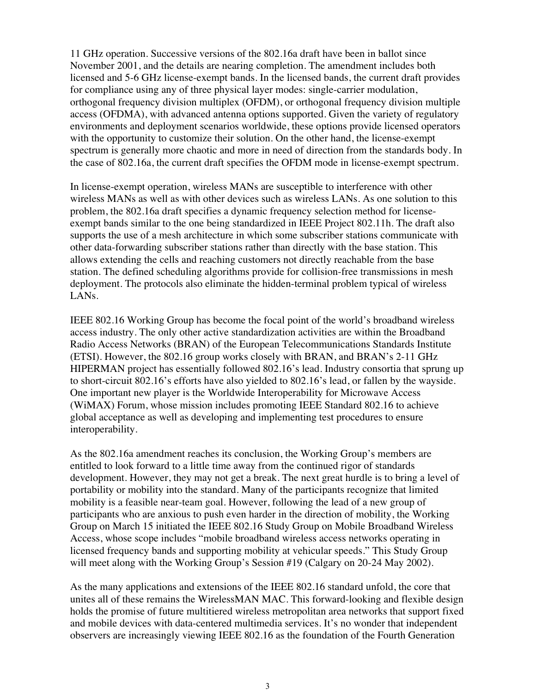11 GHz operation. Successive versions of the 802.16a draft have been in ballot since November 2001, and the details are nearing completion. The amendment includes both licensed and 5-6 GHz license-exempt bands. In the licensed bands, the current draft provides for compliance using any of three physical layer modes: single-carrier modulation, orthogonal frequency division multiplex (OFDM), or orthogonal frequency division multiple access (OFDMA), with advanced antenna options supported. Given the variety of regulatory environments and deployment scenarios worldwide, these options provide licensed operators with the opportunity to customize their solution. On the other hand, the license-exempt spectrum is generally more chaotic and more in need of direction from the standards body. In the case of 802.16a, the current draft specifies the OFDM mode in license-exempt spectrum.

In license-exempt operation, wireless MANs are susceptible to interference with other wireless MANs as well as with other devices such as wireless LANs. As one solution to this problem, the 802.16a draft specifies a dynamic frequency selection method for licenseexempt bands similar to the one being standardized in IEEE Project 802.11h. The draft also supports the use of a mesh architecture in which some subscriber stations communicate with other data-forwarding subscriber stations rather than directly with the base station. This allows extending the cells and reaching customers not directly reachable from the base station. The defined scheduling algorithms provide for collision-free transmissions in mesh deployment. The protocols also eliminate the hidden-terminal problem typical of wireless LANs.

IEEE 802.16 Working Group has become the focal point of the world's broadband wireless access industry. The only other active standardization activities are within the Broadband Radio Access Networks (BRAN) of the European Telecommunications Standards Institute (ETSI). However, the 802.16 group works closely with BRAN, and BRAN's 2-11 GHz HIPERMAN project has essentially followed 802.16's lead. Industry consortia that sprung up to short-circuit 802.16's efforts have also yielded to 802.16's lead, or fallen by the wayside. One important new player is the Worldwide Interoperability for Microwave Access (WiMAX) Forum, whose mission includes promoting IEEE Standard 802.16 to achieve global acceptance as well as developing and implementing test procedures to ensure interoperability.

As the 802.16a amendment reaches its conclusion, the Working Group's members are entitled to look forward to a little time away from the continued rigor of standards development. However, they may not get a break. The next great hurdle is to bring a level of portability or mobility into the standard. Many of the participants recognize that limited mobility is a feasible near-team goal. However, following the lead of a new group of participants who are anxious to push even harder in the direction of mobility, the Working Group on March 15 initiated the IEEE 802.16 Study Group on Mobile Broadband Wireless Access, whose scope includes "mobile broadband wireless access networks operating in licensed frequency bands and supporting mobility at vehicular speeds." This Study Group will meet along with the Working Group's Session #19 (Calgary on 20-24 May 2002).

As the many applications and extensions of the IEEE 802.16 standard unfold, the core that unites all of these remains the WirelessMAN MAC. This forward-looking and flexible design holds the promise of future multitiered wireless metropolitan area networks that support fixed and mobile devices with data-centered multimedia services. It's no wonder that independent observers are increasingly viewing IEEE 802.16 as the foundation of the Fourth Generation